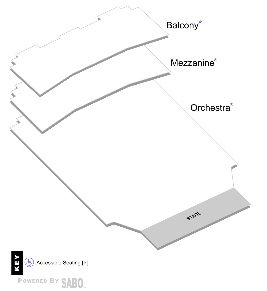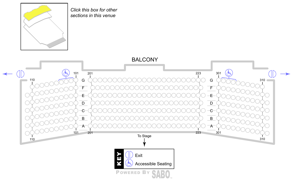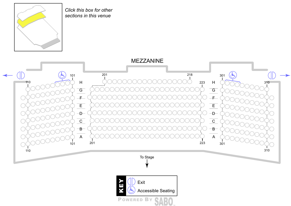

*Click this box for other sections in this venue*